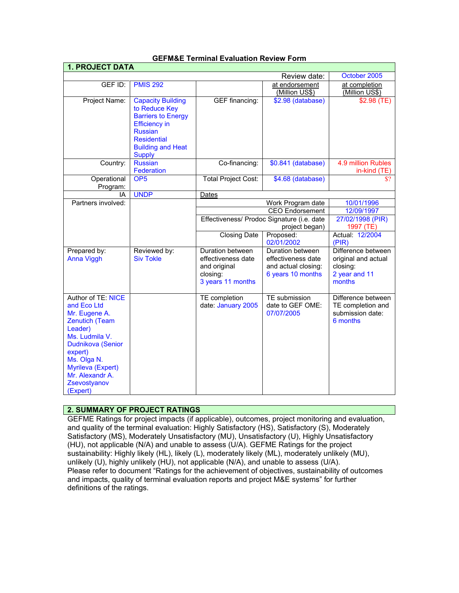| <b>1. PROJECT DATA</b>                                                                                                                                                                                                      |                                                                                                                                                                                     |                                                                                         |                                                                                    |                                                                                  |
|-----------------------------------------------------------------------------------------------------------------------------------------------------------------------------------------------------------------------------|-------------------------------------------------------------------------------------------------------------------------------------------------------------------------------------|-----------------------------------------------------------------------------------------|------------------------------------------------------------------------------------|----------------------------------------------------------------------------------|
| October 2005<br>Review date:                                                                                                                                                                                                |                                                                                                                                                                                     |                                                                                         |                                                                                    |                                                                                  |
| GEF ID:                                                                                                                                                                                                                     | <b>PMIS 292</b>                                                                                                                                                                     |                                                                                         | at endorsement<br>(Million US\$)                                                   | at completion<br>(Million US\$)                                                  |
| Project Name:                                                                                                                                                                                                               | <b>Capacity Building</b><br>to Reduce Key<br><b>Barriers to Energy</b><br><b>Efficiency in</b><br><b>Russian</b><br><b>Residential</b><br><b>Building and Heat</b><br><b>Supply</b> | <b>GEF</b> financing:                                                                   | \$2.98 (database)                                                                  | \$2.98(TE)                                                                       |
| Country:                                                                                                                                                                                                                    | <b>Russian</b><br>Federation                                                                                                                                                        | Co-financing:                                                                           | \$0.841 (database)                                                                 | 4.9 million Rubles<br>in-kind (TE)                                               |
| Operational<br>Program:                                                                                                                                                                                                     | OP <sub>5</sub>                                                                                                                                                                     | <b>Total Project Cost:</b>                                                              | $\overline{$4.68}$$ (database)                                                     | \$?                                                                              |
| ΙA                                                                                                                                                                                                                          | <b>UNDP</b>                                                                                                                                                                         | Dates                                                                                   |                                                                                    |                                                                                  |
| Partners involved:                                                                                                                                                                                                          |                                                                                                                                                                                     | Work Program date                                                                       |                                                                                    | 10/01/1996                                                                       |
|                                                                                                                                                                                                                             |                                                                                                                                                                                     |                                                                                         | <b>CEO Endorsement</b>                                                             | 12/09/1997                                                                       |
|                                                                                                                                                                                                                             |                                                                                                                                                                                     | Effectiveness/ Prodoc Signature (i.e. date<br>project began)                            |                                                                                    | 27/02/1998 (PIR)<br>1997 (TE)                                                    |
|                                                                                                                                                                                                                             |                                                                                                                                                                                     | <b>Closing Date</b>                                                                     | Proposed:<br>02/01/2002                                                            | Actual: 12/2004<br>(PIR)                                                         |
| Prepared by:<br>Anna Viggh                                                                                                                                                                                                  | Reviewed by:<br><b>Siv Tokle</b>                                                                                                                                                    | Duration between<br>effectiveness date<br>and original<br>closing:<br>3 years 11 months | Duration between<br>effectiveness date<br>and actual closing:<br>6 years 10 months | Difference between<br>original and actual<br>closing:<br>2 year and 11<br>months |
| Author of TE: NICE<br>and Eco Ltd<br>Mr. Eugene A.<br><b>Zenutich (Team</b><br>Leader)<br>Ms. Ludmila V.<br>Dudnikova (Senior<br>expert)<br>Ms. Olga N.<br>Myrileva (Expert)<br>Mr. Alexandr A.<br>Zsevostyanov<br>(Expert) |                                                                                                                                                                                     | TE completion<br>date: January 2005                                                     | TE submission<br>date to GEF OME:<br>07/07/2005                                    | Difference between<br>TE completion and<br>submission date:<br>6 months          |

## **GEFM&E Terminal Evaluation Review Form**

## **2. SUMMARY OF PROJECT RATINGS**

GEFME Ratings for project impacts (if applicable), outcomes, project monitoring and evaluation, and quality of the terminal evaluation: Highly Satisfactory (HS), Satisfactory (S), Moderately Satisfactory (MS), Moderately Unsatisfactory (MU), Unsatisfactory (U), Highly Unsatisfactory (HU), not applicable (N/A) and unable to assess (U/A). GEFME Ratings for the project sustainability: Highly likely (HL), likely (L), moderately likely (ML), moderately unlikely (MU), unlikely (U), highly unlikely (HU), not applicable (N/A), and unable to assess (U/A). Please refer to document "Ratings for the achievement of objectives, sustainability of outcomes and impacts, quality of terminal evaluation reports and project M&E systems" for further definitions of the ratings.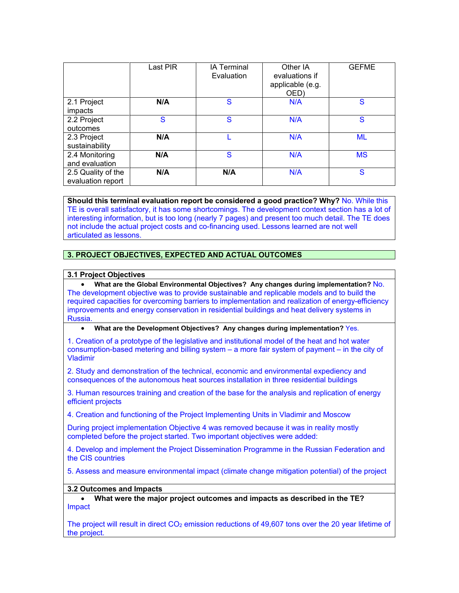|                        | Last PIR | <b>IA Terminal</b><br>Evaluation | Other IA<br>evaluations if<br>applicable (e.g.<br>OED) | <b>GEFME</b> |
|------------------------|----------|----------------------------------|--------------------------------------------------------|--------------|
| 2.1 Project<br>impacts | N/A      | S                                | N/A                                                    | S            |
|                        |          |                                  |                                                        |              |
| 2.2 Project            | S        | S                                | N/A                                                    | S            |
| outcomes               |          |                                  |                                                        |              |
| 2.3 Project            | N/A      |                                  | N/A                                                    | <b>ML</b>    |
| sustainability         |          |                                  |                                                        |              |
| 2.4 Monitoring         | N/A      | S                                | N/A                                                    | <b>MS</b>    |
| and evaluation         |          |                                  |                                                        |              |
| 2.5 Quality of the     | N/A      | N/A                              | N/A                                                    | S            |
| evaluation report      |          |                                  |                                                        |              |

**Should this terminal evaluation report be considered a good practice? Why? No. While this** TE is overall satisfactory, it has some shortcomings. The development context section has a lot of interesting information, but is too long (nearly 7 pages) and present too much detail. The TE does not include the actual project costs and co-financing used. Lessons learned are not well articulated as lessons.

## **3. PROJECT OBJECTIVES, EXPECTED AND ACTUAL OUTCOMES**

#### **3.1 Project Objectives**

• **What are the Global Environmental Objectives? Any changes during implementation?** No. The development objective was to provide sustainable and replicable models and to build the required capacities for overcoming barriers to implementation and realization of energy-efficiency improvements and energy conservation in residential buildings and heat delivery systems in Russia.

• **What are the Development Objectives? Any changes during implementation?** Yes.

1. Creation of a prototype of the legislative and institutional model of the heat and hot water consumption-based metering and billing system – a more fair system of payment – in the city of Vladimir

2. Study and demonstration of the technical, economic and environmental expediency and consequences of the autonomous heat sources installation in three residential buildings

3. Human resources training and creation of the base for the analysis and replication of energy efficient projects

4. Creation and functioning of the Project Implementing Units in Vladimir and Moscow

During project implementation Objective 4 was removed because it was in reality mostly completed before the project started. Two important objectives were added:

4. Develop and implement the Project Dissemination Programme in the Russian Federation and the CIS countries

5. Assess and measure environmental impact (climate change mitigation potential) of the project

#### **3.2 Outcomes and Impacts**

• **What were the major project outcomes and impacts as described in the TE?** Impact

The project will result in direct  $CO<sub>2</sub>$  emission reductions of 49,607 tons over the 20 year lifetime of the project.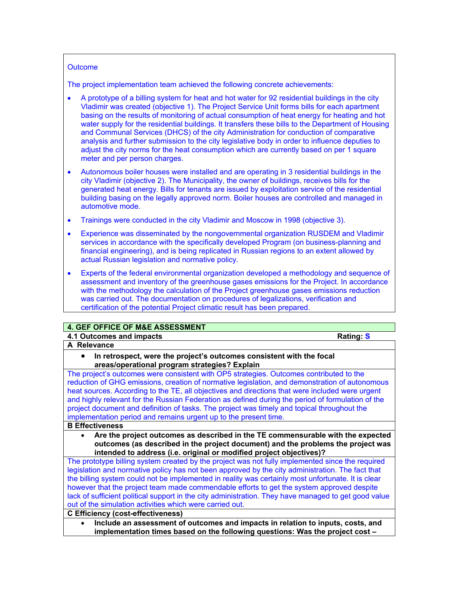#### **Outcome**

The project implementation team achieved the following concrete achievements:

- A prototype of a billing system for heat and hot water for 92 residential buildings in the city Vladimir was created (objective 1). The Project Service Unit forms bills for each apartment basing on the results of monitoring of actual consumption of heat energy for heating and hot water supply for the residential buildings. It transfers these bills to the Department of Housing and Communal Services (DHCS) of the city Administration for conduction of comparative analysis and further submission to the city legislative body in order to influence deputies to adjust the city norms for the heat consumption which are currently based on per 1 square meter and per person charges.
- Autonomous boiler houses were installed and are operating in 3 residential buildings in the city Vladimir (objective 2). The Municipality, the owner of buildings, receives bills for the generated heat energy. Bills for tenants are issued by exploitation service of the residential building basing on the legally approved norm. Boiler houses are controlled and managed in automotive mode.
- Trainings were conducted in the city Vladimir and Moscow in 1998 (objective 3).
- Experience was disseminated by the nongovernmental organization RUSDEM and Vladimir services in accordance with the specifically developed Program (on business-planning and financial engineering), and is being replicated in Russian regions to an extent allowed by actual Russian legislation and normative policy.
- Experts of the federal environmental organization developed a methodology and sequence of assessment and inventory of the greenhouse gases emissions for the Project. In accordance with the methodology the calculation of the Project greenhouse gases emissions reduction was carried out. The documentation on procedures of legalizations, verification and certification of the potential Project climatic result has been prepared.

## **4. GEF OFFICE OF M&E ASSESSMENT**

# **4.1 Outcomes and impacts Rating: S**

**A Relevance** 

• **In retrospect, were the project's outcomes consistent with the focal areas/operational program strategies? Explain**

The project's outcomes were consistent with OP5 strategies. Outcomes contributed to the reduction of GHG emissions, creation of normative legislation, and demonstration of autonomous heat sources. According to the TE, all objectives and directions that were included were urgent and highly relevant for the Russian Federation as defined during the period of formulation of the project document and definition of tasks. The project was timely and topical throughout the implementation period and remains urgent up to the present time.

#### **B Effectiveness**

• **Are the project outcomes as described in the TE commensurable with the expected outcomes (as described in the project document) and the problems the project was intended to address (i.e. original or modified project objectives)?** 

The prototype billing system created by the project was not fully implemented since the required legislation and normative policy has not been approved by the city administration. The fact that the billing system could not be implemented in reality was certainly most unfortunate. It is clear however that the project team made commendable efforts to get the system approved despite lack of sufficient political support in the city administration. They have managed to get good value out of the simulation activities which were carried out.

# **C Efficiency (cost-effectiveness)**

• **Include an assessment of outcomes and impacts in relation to inputs, costs, and implementation times based on the following questions: Was the project cost –**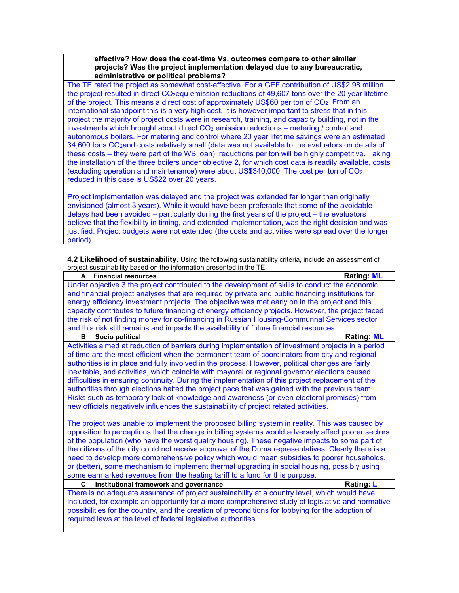#### **effective? How does the cost-time Vs. outcomes compare to other similar projects? Was the project implementation delayed due to any bureaucratic, administrative or political problems?**

The TE rated the project as somewhat cost-effective. For a GEF contribution of US\$2.98 million the project resulted in direct CO<sub>2</sub>equ emission reductions of 49,607 tons over the 20 year lifetime of the project. This means a direct cost of approximately US\$60 per ton of CO<sub>2</sub>. From an international standpoint this is a very high cost. It is however important to stress that in this project the majority of project costs were in research, training, and capacity building, not in the investments which brought about direct  $CO<sub>2</sub>$  emission reductions – metering / control and autonomous boilers. For metering and control where 20 year lifetime savings were an estimated 34,600 tons CO<sub>2</sub>and costs relatively small (data was not available to the evaluators on details of these costs – they were part of the WB loan), reductions per ton will be highly competitive. Taking the installation of the three boilers under objective 2, for which cost data is readily available, costs (excluding operation and maintenance) were about US\$340,000. The cost per ton of  $CO<sub>2</sub>$ reduced in this case is US\$22 over 20 years.

Project implementation was delayed and the project was extended far longer than originally envisioned (almost 3 years). While it would have been preferable that some of the avoidable delays had been avoided – particularly during the first years of the project – the evaluators believe that the flexibility in timing, and extended implementation, was the right decision and was justified. Project budgets were not extended (the costs and activities were spread over the longer period).

| 4.2 Likelihood of sustainability. Using the following sustainability criteria, include an assessment of |  |  |
|---------------------------------------------------------------------------------------------------------|--|--|
| project sustainability based on the information presented in the TE.                                    |  |  |

| <b>Financial resources</b><br>A                                                                                                                                                                       | <b>Rating: ML</b> |
|-------------------------------------------------------------------------------------------------------------------------------------------------------------------------------------------------------|-------------------|
| Under objective 3 the project contributed to the development of skills to conduct the economic                                                                                                        |                   |
| and financial project analyses that are required by private and public financing institutions for                                                                                                     |                   |
| energy efficiency investment projects. The objective was met early on in the project and this                                                                                                         |                   |
| capacity contributes to future financing of energy efficiency projects. However, the project faced                                                                                                    |                   |
| the risk of not finding money for co-financing in Russian Housing-Communnal Services sector                                                                                                           |                   |
| and this risk still remains and impacts the availability of future financial resources.                                                                                                               |                   |
| Socio political<br>в                                                                                                                                                                                  | <b>Rating: ML</b> |
| Activities aimed at reduction of barriers during implementation of investment projects in a period                                                                                                    |                   |
| of time are the most efficient when the permanent team of coordinators from city and regional                                                                                                         |                   |
| authorities is in place and fully involved in the process. However, political changes are fairly                                                                                                      |                   |
| inevitable, and activities, which coincide with mayoral or regional governor elections caused                                                                                                         |                   |
| difficulties in ensuring continuity. During the implementation of this project replacement of the                                                                                                     |                   |
| authorities through elections halted the project pace that was gained with the previous team.                                                                                                         |                   |
| Risks such as temporary lack of knowledge and awareness (or even electoral promises) from                                                                                                             |                   |
| new officials negatively influences the sustainability of project related activities.                                                                                                                 |                   |
|                                                                                                                                                                                                       |                   |
| The project was unable to implement the proposed billing system in reality. This was caused by                                                                                                        |                   |
| opposition to perceptions that the change in billing systems would adversely affect poorer sectors                                                                                                    |                   |
| of the population (who have the worst quality housing). These negative impacts to some part of                                                                                                        |                   |
| the citizens of the city could not receive approval of the Duma representatives. Clearly there is a<br>need to develop more comprehensive policy which would mean subsidies to poorer households,     |                   |
| or (better), some mechanism to implement thermal upgrading in social housing, possibly using                                                                                                          |                   |
| some earmarked revenues from the heating tariff to a fund for this purpose.                                                                                                                           |                   |
| C                                                                                                                                                                                                     | Rating: L         |
| Institutional framework and governance                                                                                                                                                                |                   |
| There is no adequate assurance of project sustainability at a country level, which would have                                                                                                         |                   |
| included, for example an opportunity for a more comprehensive study of legislative and normative<br>possibilities for the country, and the creation of preconditions for lobbying for the adoption of |                   |
| required laws at the level of federal legislative authorities.                                                                                                                                        |                   |
|                                                                                                                                                                                                       |                   |
|                                                                                                                                                                                                       |                   |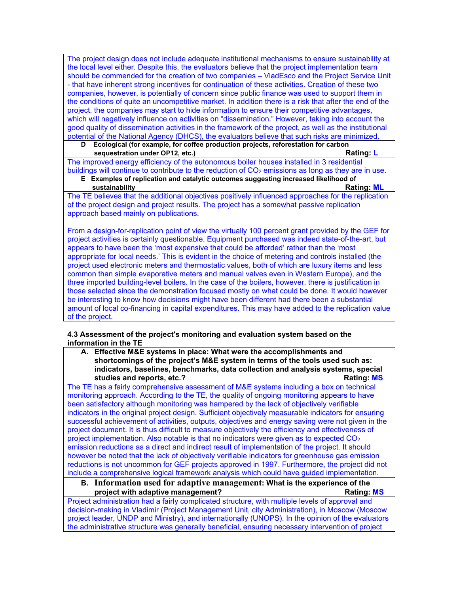The project design does not include adequate institutional mechanisms to ensure sustainability at the local level either. Despite this, the evaluators believe that the project implementation team should be commended for the creation of two companies – VladEsco and the Project Service Unit - that have inherent strong incentives for continuation of these activities. Creation of these two companies, however, is potentially of concern since public finance was used to support them in the conditions of quite an uncompetitive market. In addition there is a risk that after the end of the project, the companies may start to hide information to ensure their competitive advantages, which will negatively influence on activities on "dissemination." However, taking into account the good quality of dissemination activities in the framework of the project, as well as the institutional potential of the National Agency (DHCS), the evaluators believe that such risks are minimized.

**D Ecological (for example, for coffee production projects, reforestation for carbon sequestration under OP12, etc.) Rating:** L **Rating:** L

The improved energy efficiency of the autonomous boiler houses installed in 3 residential buildings will continue to contribute to the reduction of  $CO<sub>2</sub>$  emissions as long as they are in use.

## **E Examples of replication and catalytic outcomes suggesting increased likelihood of sustainability Rating: ML**

The TE believes that the additional objectives positively influenced approaches for the replication of the project design and project results. The project has a somewhat passive replication approach based mainly on publications.

From a design-for-replication point of view the virtually 100 percent grant provided by the GEF for project activities is certainly questionable. Equipment purchased was indeed state-of-the-art, but appears to have been the 'most expensive that could be afforded' rather than the 'most appropriate for local needs.' This is evident in the choice of metering and controls installed (the project used electronic meters and thermostatic values, both of which are luxury items and less common than simple evaporative meters and manual valves even in Western Europe), and the three imported building-level boilers. In the case of the boilers, however, there is justification in those selected since the demonstration focused mostly on what could be done. It would however be interesting to know how decisions might have been different had there been a substantial amount of local co-financing in capital expenditures. This may have added to the replication value of the project.

#### **4.3 Assessment of the project's monitoring and evaluation system based on the information in the TE**

**A. Effective M&E systems in place: What were the accomplishments and shortcomings of the project's M&E system in terms of the tools used such as: indicators, baselines, benchmarks, data collection and analysis systems, special studies and reports, etc.?** All a studies and reports, etc.? All a studies are proported as a studies of  $R$ 

The TE has a fairly comprehensive assessment of M&E systems including a box on technical monitoring approach. According to the TE, the quality of ongoing monitoring appears to have been satisfactory although monitoring was hampered by the lack of objectively verifiable indicators in the original project design. Sufficient objectively measurable indicators for ensuring successful achievement of activities, outputs, objectives and energy saving were not given in the project document. It is thus difficult to measure objectively the efficiency and effectiveness of project implementation. Also notable is that no indicators were given as to expected  $CO<sub>2</sub>$ emission reductions as a direct and indirect result of implementation of the project. It should however be noted that the lack of objectively verifiable indicators for greenhouse gas emission reductions is not uncommon for GEF projects approved in 1997. Furthermore, the project did not include a comprehensive logical framework analysis which could have guided implementation.

#### **B. Information used for adaptive management: What is the experience of the project with adaptive management? Rating: MS** Rating: MS

Project administration had a fairly complicated structure, with multiple levels of approval and decision-making in Vladimir (Project Management Unit, city Administration), in Moscow (Moscow project leader, UNDP and Ministry), and internationally (UNOPS). In the opinion of the evaluators the administrative structure was generally beneficial, ensuring necessary intervention of project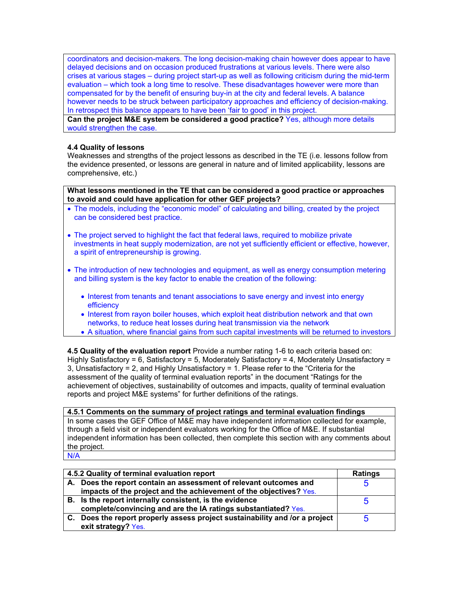coordinators and decision-makers. The long decision-making chain however does appear to have delayed decisions and on occasion produced frustrations at various levels. There were also crises at various stages – during project start-up as well as following criticism during the mid-term evaluation – which took a long time to resolve. These disadvantages however were more than compensated for by the benefit of ensuring buy-in at the city and federal levels. A balance however needs to be struck between participatory approaches and efficiency of decision-making. In retrospect this balance appears to have been 'fair to good' in this project.

**Can the project M&E system be considered a good practice?** Yes, although more details would strengthen the case.

#### **4.4 Quality of lessons**

Weaknesses and strengths of the project lessons as described in the TE (i.e. lessons follow from the evidence presented, or lessons are general in nature and of limited applicability, lessons are comprehensive, etc.)

**What lessons mentioned in the TE that can be considered a good practice or approaches to avoid and could have application for other GEF projects?**

- The models, including the "economic model" of calculating and billing, created by the project can be considered best practice.
- The project served to highlight the fact that federal laws, required to mobilize private investments in heat supply modernization, are not yet sufficiently efficient or effective, however, a spirit of entrepreneurship is growing.
- The introduction of new technologies and equipment, as well as energy consumption metering and billing system is the key factor to enable the creation of the following:
	- Interest from tenants and tenant associations to save energy and invest into energy efficiency
	- Interest from rayon boiler houses, which exploit heat distribution network and that own networks, to reduce heat losses during heat transmission via the network
	- A situation, where financial gains from such capital investments will be returned to investors

**4.5 Quality of the evaluation report** Provide a number rating 1-6 to each criteria based on: Highly Satisfactory = 6, Satisfactory = 5, Moderately Satisfactory = 4, Moderately Unsatisfactory = 3, Unsatisfactory = 2, and Highly Unsatisfactory = 1. Please refer to the "Criteria for the assessment of the quality of terminal evaluation reports" in the document "Ratings for the achievement of objectives, sustainability of outcomes and impacts, quality of terminal evaluation reports and project M&E systems" for further definitions of the ratings.

#### **4.5.1 Comments on the summary of project ratings and terminal evaluation findings**

In some cases the GEF Office of M&E may have independent information collected for example, through a field visit or independent evaluators working for the Office of M&E. If substantial independent information has been collected, then complete this section with any comments about the project.

N/A

| 4.5.2 Quality of terminal evaluation report |                                                                             | <b>Ratings</b> |
|---------------------------------------------|-----------------------------------------------------------------------------|----------------|
|                                             | A. Does the report contain an assessment of relevant outcomes and           | b              |
|                                             | impacts of the project and the achievement of the objectives? Yes.          |                |
|                                             | B. Is the report internally consistent, is the evidence                     | b              |
|                                             | complete/convincing and are the IA ratings substantiated? Yes.              |                |
|                                             | C. Does the report properly assess project sustainability and /or a project | h              |
|                                             | exit strategy? Yes.                                                         |                |